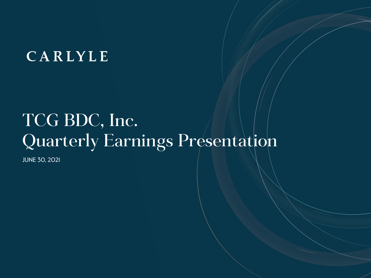## CARLYLE

# TCG BDC, Inc. Quarterly Earnings Presentation

JUNE 30, 2021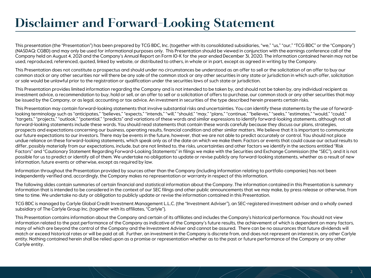### **Disclaimer and Forward-Looking Statement**

This presentation (the "Presentation") has been prepared by TCG BDC, Inc. (together with its consolidated subsidiaries, "we," "us," "our," "TCG BDC" or the "Company") (NASDAQ: CGBD) and may only be used for informational purposes only. This Presentation should be viewed in conjunction with the earnings conference call of the Company held on August 4, 2021 and the Company's Annual Report on Form 10-K for the year ended December 31, 2020. The information contained herein may not be used, reproduced, referenced, quoted, linked by website, or distributed to others, in whole or in part, except as agreed in writing by the Company.

This Presentation does not constitute a prospectus and should under no circumstances be understood as an offer to sell or the solicitation of an offer to buy our common stock or any other securities nor will there be any sale of the common stock or any other securities in any state or jurisdiction in which such offer, solicitation or sale would be unlawful prior to the registration or qualification under the securities laws of such state or jurisdiction.

This Presentation provides limited information regarding the Company and is not intended to be taken by, and should not be taken by, any individual recipient as investment advice, a recommendation to buy, hold or sell, or an offer to sell or a solicitation of offers to purchase, our common stock or any other securities that may be issued by the Company, or as legal, accounting or tax advice. An investment in securities of the type described herein presents certain risks.

This Presentation may contain forward-looking statements that involve substantial risks and uncertainties. You can identify these statements by the use of forwardlooking terminology such as "anticipates," "believes," "expects," "intends," "will," "should," "may," "plans," "continue," "believes," "seeks," "estimates," "would," "could," "targets," "projects," "outlook," "potential," "predicts" and variations of these words and similar expressions to identify forward-looking statements, although not all forward-looking statements include these words. You should read statements that contain these words carefully because they discuss our plans, strategies, prospects and expectations concerning our business, operating results, financial condition and other similar matters. We believe that it is important to communicate our future expectations to our investors. There may be events in the future, however, that we are not able to predict accurately or control. You should not place undue reliance on these forward-looking statements, which speak only as of the date on which we make them. Factors or events that could cause our actual results to differ, possibly materially from our expectations, include, but are not limited to, the risks, uncertainties and other factors we identify in the sections entitled "Risk Factors" and "Cautionary Statement Regarding Forward-Looking Statements" in filings we make with the Securities and Exchange Commission (the "SEC"), and it is not possible for us to predict or identify all of them. We undertake no obligation to update or revise publicly any forward-looking statements, whether as a result of new information, future events or otherwise, except as required by law.

Information throughout the Presentation provided by sources other than the Company (including information relating to portfolio companies) has not been independently verified and, accordingly, the Company makes no representation or warranty in respect of this information.

The following slides contain summaries of certain financial and statistical information about the Company. The information contained in this Presentation is summary information that is intended to be considered in the context of our SEC filings and other public announcements that we may make, by press release or otherwise, from time to time. We undertake no duty or obligation to publicly update or revise the information contained in this Presentation.

TCG BDC is managed by Carlyle Global Credit Investment Management L.L.C. (the "Investment Adviser"), an SEC-registered investment adviser and a wholly owned subsidiary of The Carlyle Group Inc. (together with its affiliates, "Carlyle").

This Presentation contains information about the Company and certain of its affiliates and includes the Company's historical performance. You should not view information related to the past performance of the Company as indicative of the Company's future results, the achievement of which is dependent on many factors, many of which are beyond the control of the Company and the Investment Adviser and cannot be assured. There can be no assurances that future dividends will match or exceed historical rates or will be paid at all. Further, an investment in the Company is discrete from, and does not represent an interest in, any other Carlyle entity. Nothing contained herein shall be relied upon as a promise or representation whether as to the past or future performance of the Company or any other Carlyle entity.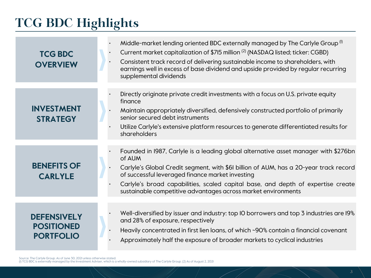## **TCG BDC Highlights**

| <b>TCG BDC</b><br><b>OVERVIEW</b>                           | Middle-market lending oriented BDC externally managed by The Carlyle Group <sup>(1)</sup><br>Current market capitalization of \$715 million (2) (NASDAQ listed; ticker: CGBD)<br>Consistent track record of delivering sustainable income to shareholders, with<br>$\bullet$<br>earnings well in excess of base dividend and upside provided by regular recurring<br>supplemental dividends     |  |
|-------------------------------------------------------------|-------------------------------------------------------------------------------------------------------------------------------------------------------------------------------------------------------------------------------------------------------------------------------------------------------------------------------------------------------------------------------------------------|--|
| <b>INVESTMENT</b><br><b>STRATEGY</b>                        | Directly originate private credit investments with a focus on U.S. private equity<br>finance<br>Maintain appropriately diversified, defensively constructed portfolio of primarily<br>senior secured debt instruments<br>Utilize Carlyle's extensive platform resources to generate differentiated results for<br>shareholders                                                                  |  |
| <b>BENEFITS OF</b><br><b>CARLYLE</b>                        | Founded in 1987, Carlyle is a leading global alternative asset manager with \$276bn<br>of AUM<br>Carlyle's Global Credit segment, with \$61 billion of AUM, has a 20-year track record<br>of successful leveraged finance market investing<br>Carlyle's broad capabilities, scaled capital base, and depth of expertise create<br>sustainable competitive advantages across market environments |  |
| <b>DEFENSIVELY</b><br><b>POSITIONED</b><br><b>PORTFOLIO</b> | Well-diversified by issuer and industry: top IO borrowers and top 3 industries are I9%<br>and 28% of exposure, respectively<br>Heavily concentrated in first lien loans, of which ~90% contain a financial covenant<br>Approximately half the exposure of broader markets to cyclical industries                                                                                                |  |

Source: The Carlyle Group. As of June 30, 2021 unless otherwise stated.<br>(I) TCG BDC is externally managed by the Investment Adviser, which is a wholly-owned subsidiary of The Carlyle Group. (2) As of August 2, 2021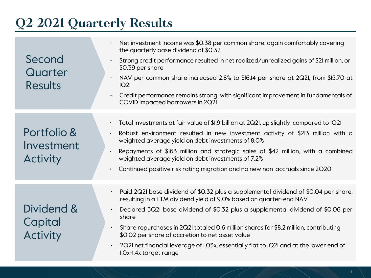### **Q2 2021 Quarterly Results**

| Second<br>Quarter<br>Results                 | Net investment income was \$0.38 per common share, again comfortably covering<br>the quarterly base dividend of \$0.32<br>Strong credit performance resulted in net realized/unrealized gains of \$2I million, or<br>$\bullet$<br>\$0.39 per share<br>NAV per common share increased 2.8% to \$16.14 per share at 2Q21, from \$15.70 at<br>$\bullet$<br> Q2 <br>Credit performance remains strong, with significant improvement in fundamentals of<br>$\bullet$<br>COVID impacted borrowers in 2Q2I                                 |
|----------------------------------------------|-------------------------------------------------------------------------------------------------------------------------------------------------------------------------------------------------------------------------------------------------------------------------------------------------------------------------------------------------------------------------------------------------------------------------------------------------------------------------------------------------------------------------------------|
| Portfolio &<br>Investment<br><b>Activity</b> | Total investments at fair value of \$1.9 billion at 2Q2I, up slightly compared to IQ2I<br>$\bullet$<br>Robust environment resulted in new investment activity of \$213 million with a<br>$\bullet$<br>weighted average yield on debt investments of 8.0%<br>Repayments of \$163 million and strategic sales of \$42 million, with a combined<br>$\bullet$<br>weighted average yield on debt investments of 7.2%<br>Continued positive risk rating migration and no new non-accruals since 2Q20<br>$\bullet$                         |
| Dividend &<br>Capital<br><b>Activity</b>     | Paid 2Q2I base dividend of \$0.32 plus a supplemental dividend of \$0.04 per share,<br>resulting in a LTM dividend yield of 9.0% based on quarter-end NAV<br>Declared 3Q2I base dividend of \$0.32 plus a supplemental dividend of \$0.06 per<br>$\bullet$<br>share<br>Share repurchases in 2Q2I totaled 0.6 million shares for \$8.2 million, contributing<br>\$0.02 per share of accretion to net asset value<br>2Q2I net financial leverage of I.03x, essentially flat to IQ2I and at the lower end of<br>I.Ox-I.4x target range |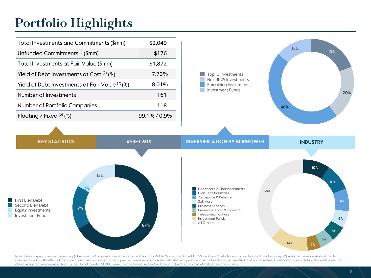### **Portfolio Highlights**

**17%**

First Lien Debt Second Lien Debt Equity Investments Investment Funds

**3%**

**14%**

| Total Investments and Commitments (\$mm)         | \$2,049      |
|--------------------------------------------------|--------------|
| Unfunded Commitments <sup>(I)</sup> (\$mm)       | \$176        |
| Total Investments at Fair Value (\$mm)           | \$1,872      |
| Yield of Debt Investments at Cost $(2)$ (%)      | 7.73%        |
| Yield of Debt Investments at Fair Value $(2)(%)$ | 8.01%        |
| Number of Investments                            | 161          |
| Number of Portfolio Companies                    | 118          |
| Floating / Fixed $(3)$ (%)                       | 99.1% / 0.9% |
|                                                  |              |



Note: Totals may not sum due to rounding. (I) Excludes the Company's commitments to fund capital to Middle Market Credit Fund, LLC ("Credit Fund"), which is not consolidated with the Company. (2) Weighted average yields of investments include the effect of accretion of discounts and amortization of premiums and are based on interest rates as of period end. Actual yields earned over the life of each investment could differ materially from the above. Weighted average yields for TCG BDC do not include TCG BDC's investment in Credit Fund or Credit Fund II. (3) % of fair value of first and second lien debt.

 $\mathcal{C}^{\mathcal{A}}$ 

**67%**

**5%**

**14% 5%**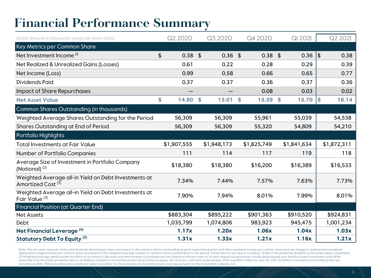### **Financial Performance Summary**

| (Dollar amounts in thousands, except per share data)                                  | Q2 2020     |           |    | Q3 2020     | Q4 2020        | <b>QI 202I</b> |     | Q2 2021     |
|---------------------------------------------------------------------------------------|-------------|-----------|----|-------------|----------------|----------------|-----|-------------|
| Key Metrics per Common Share                                                          |             |           |    |             |                |                |     |             |
| Net Investment Income <sup>(I)</sup>                                                  | \$          | $0.38$ \$ |    | $0.36$ \$   | $0.38$ \$      | $0.36$   \$    |     | 0.38        |
| Net Realized & Unrealized Gains (Losses)                                              |             | 0.61      |    | 0.22        | 0.28           | 0.29           |     | 0.39        |
| Net Income (Loss)                                                                     |             | 0.99      |    | 0.58        | 0.66           | 0.65           |     | 0.77        |
| <b>Dividends Paid</b>                                                                 |             | 0.37      |    | 0.37        | 0.36           | 0.37           |     | 0.36        |
| <b>Impact of Share Repurchases</b>                                                    |             |           |    |             | 0.08           | 0.03           |     | 0.02        |
| <b>Net Asset Value</b>                                                                | \$          | 14.80     | S. | 15.01       | \$<br>15.39 \$ | 15.70          | l\$ | 16.14       |
| Common Shares Outstanding (in thousands)                                              |             |           |    |             |                |                |     |             |
| Weighted Average Shares Outstanding for the Period                                    |             | 56,309    |    | 56,309      | 55,961         | 55,039         |     | 54,538      |
| Shares Outstanding at End of Period                                                   |             | 56,309    |    | 56,309      | 55,320         | 54,809         |     | 54,210      |
| Portfolio Highlights                                                                  |             |           |    |             |                |                |     |             |
| <b>Total Investments at Fair Value</b>                                                | \$1,907,555 |           |    | \$1,948,173 | \$1,825,749    | \$1,841,634    |     | \$1,872,311 |
| Number of Portfolio Companies                                                         |             | 111       |    | 114         | 117            | 119            |     | 118         |
| Average Size of Investment in Portfolio Company<br>(Notional) $(2)$                   |             | \$18,380  |    | \$18,380    | \$16,200       | \$16,389       |     | \$16,533    |
| Weighted Average all-in Yield on Debt Investments at<br>Amortized Cost <sup>(3)</sup> |             | 7.34%     |    | 7.44%       | 7.57%          | 7.63%          |     | 7.73%       |
| Weighted Average all-in Yield on Debt Investments at<br>Fair Value <sup>(3)</sup>     |             | 7.90%     |    | 7.94%       | 8.01%          | 7.99%          |     | 8.01%       |
| <b>Financial Position (at Quarter End)</b>                                            |             |           |    |             |                |                |     |             |
| <b>Net Assets</b>                                                                     | \$883,304   |           |    | \$895,222   | \$901,363      | \$910,520      |     | \$924,831   |
| Debt                                                                                  | 1,035,799   |           |    | 1,074,806   | 983,923        | 945,475        |     | 1,001,234   |
| Net Financial Leverage <sup>(4)</sup>                                                 |             | 1.17x     |    | 1.20x       | 1.06x          | 1.04x          |     | 1.03x       |
| Statutory Debt To Equity <sup>(5)</sup>                                               |             | 1.31x     |    | 1.33x       | 1.21x          | 1.16x          |     | 1.21x       |

Note: The net asset value per share and dividends declared per share are based on the common shares outstanding at each respective quarter-end. Net investment income per common share and net change in realized and unrealized appreciation (depreciation) per common share are based on the weighted average number of common shares outstanding for the period. Totals may not sum due to rounding. (I) Net of the preferred dividend. (2) Excludes equity (3) Weighted average yields include the effect of accretion of discounts and amortization of premiums and are based on interest rates as of each respective period end. Actual yields earned over the life of each investment materially from the yields presented above. (4) Reflects cumulative convertible preferred securities as equity, net of excess cash held at period end, which was \$50.3 million on June 30, 2021. (5) Reflects cumulative conve securities as debt. These securities are considered "senior securities" for the purposes of calculating asset coverage pursuant to the Investment Company Act.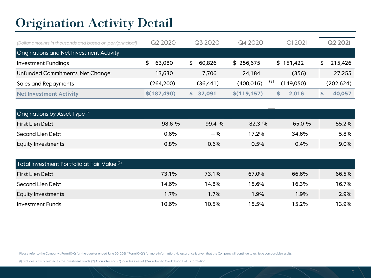### **Origination Activity Detail**

| (Dollar amounts in thousands and based on par/principal) | Q2 2020      | Q3 2020      | Q4 2020           | <b>QI 2021</b> | Q2 2021                  |
|----------------------------------------------------------|--------------|--------------|-------------------|----------------|--------------------------|
| <b>Originations and Net Investment Activity</b>          |              |              |                   |                |                          |
| <b>Investment Fundings</b>                               | \$<br>63,080 | \$<br>60,826 | \$256,675         | \$151,422      | $\frac{1}{2}$<br>215,426 |
| Unfunded Commitments, Net Change                         | 13,630       | 7,706        | 24,184            | (356)          | 27,255                   |
| <b>Sales and Repayments</b>                              | (264, 200)   | (36, 441)    | (3)<br>(400, 016) | (149,050)      | (202, 624)               |
| <b>Net Investment Activity</b>                           | \$(187, 490) | 32,091<br>\$ | \$(119, 157)      | \$<br>2,016    | 40,057<br>\$             |
|                                                          |              |              |                   |                |                          |
| Originations by Asset Type <sup>(I)</sup>                |              |              |                   |                |                          |
| First Lien Debt                                          | 98.6 %       | 99.4 %       | 82.3 %            | 65.0 %         | 85.2%                    |
| Second Lien Debt                                         | 0.6%         | $-$ %        | 17.2%             | 34.6%          | 5.8%                     |
| <b>Equity Investments</b>                                | 0.8%         | 0.6%         | 0.5%              | 0.4%           | 9.0%                     |
|                                                          |              |              |                   |                |                          |
| Total Investment Portfolio at Fair Value <sup>(2)</sup>  |              |              |                   |                |                          |
| First Lien Debt                                          | 73.1%        | 73.1%        | 67.0%             | 66.6%          | 66.5%                    |
| Second Lien Debt                                         | 14.6%        | 14.8%        | 15.6%             | 16.3%          | 16.7%                    |
| <b>Equity Investments</b>                                | 1.7%         | 1.7%         | 1.9%              | 1.9%           | 2.9%                     |
| <b>Investment Funds</b>                                  | 10.6%        | 10.5%        | 15.5%             | 15.2%          | 13.9%                    |

Please refer to the Company's Form IO-Q for the quarter ended June 30, 2021 ("Form IO-Q") for more information. No assurance is given that the Company will continue to achieve comparable results.

(1) Excludes activity related to the Investment Funds. (2) At quarter end. (3) Includes sales of \$247 million to Credit Fund II at its formation.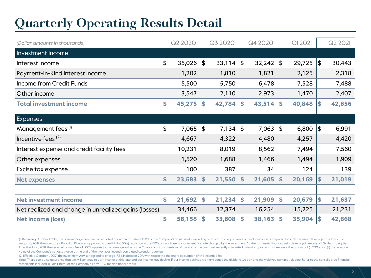### **Quarterly Operating Results Detail**

| (Dollar amounts in thousands)                        | Q2 2020      |    | Q3 2020     |                    | Q4 2020     | <b>QI 202I</b> |               | Q2 2021 |
|------------------------------------------------------|--------------|----|-------------|--------------------|-------------|----------------|---------------|---------|
| Investment Income                                    |              |    |             |                    |             |                |               |         |
| Interest income                                      | \$<br>35,026 | \$ | $33,114$ \$ |                    | $32,242$ \$ | 29,725         | $\frac{1}{2}$ | 30,443  |
| Payment-In-Kind interest income                      | 1,202        |    | 1,810       |                    | 1,821       | 2,125          |               | 2,318   |
| Income from Credit Funds                             | 5,500        |    | 5,750       |                    | 6,478       | 7,528          |               | 7,488   |
| Other income                                         | 3,547        |    | 2,110       |                    | 2,973       | 1,470          |               | 2,407   |
| <b>Total investment income</b>                       | \$<br>45,275 | S. | 42,784 \$   |                    | 43,514 \$   | 40,848         | S             | 42,656  |
|                                                      |              |    |             |                    |             |                |               |         |
| Expenses                                             |              |    |             |                    |             |                |               |         |
| Management fees <sup>(I)</sup>                       | \$<br>7,065  | \$ | $7,134$ \$  |                    | $7,063$ \$  | 6,800          | \$            | 6,991   |
| Incentive fees $(2)$                                 | 4,667        |    | 4,322       |                    | 4,480       | 4,257          |               | 4,420   |
| Interest expense and credit facility fees            | 10,231       |    | 8,019       |                    | 8,562       | 7,494          |               | 7,560   |
| Other expenses                                       | 1,520        |    | 1,688       |                    | 1,466       | 1,494          |               | 1,909   |
| Excise tax expense                                   | 100          |    | 387         |                    | 34          | 124            |               | 139     |
| <b>Net expenses</b>                                  | \$<br>23,583 | \$ | 21,550      | \$                 | 21,605      | \$<br>20,169   | \$            | 21,019  |
|                                                      |              |    |             |                    |             |                |               |         |
| <b>Net investment income</b>                         | \$<br>21,692 | \$ | 21,234      | $\mathbf{\hat{5}}$ | 21,909      | \$<br>20,679   | \$            | 21,637  |
| Net realized and change in unrealized gains (losses) | 34,466       |    | 12,374      |                    | 16,254      | 15,225         |               | 21,231  |
| Net income (loss)                                    | \$<br>56,158 | \$ | 33,608      | \$                 | 38,163      | \$<br>35,904   | \$            | 42,868  |

(I) Beginning October I, 2017, the base management fee is calculated at an annual rate of I.50% of the Company's gross assets, excluding cash and cash equivalents but including assets acquired through the use of leverage. August 6, 2018, the Company's Board of Directors approved a one-third (0.50%) reduction in the 1.50% annual base management fee rate charged by the Investment Adviser on assets financed using leverage in excess of I.Ox deb Effective July I, 2018, the reduced annual fee of I.00% applies to the average value of the Company's gross assets as of the end of the two most recently completed calendar quarters that exceeds the product of (i) 200% and value of the Company's net asset value at the end of the two most recently completed calendar quarters.

(2) Effective October 1, 2017, the Investment Adviser agreed to charge 17.5% instead of 20% with respect to the entire calculation of the incentive fee.

Note: There can be no assurance that we will continue to earn income at this rate and our income may decline. If our income declines, we may reduce the dividend we pay and the yield you earn may decline. Refer to the conso statements included in Part I, Item 1 of the Company's Form 10-Q for additional details.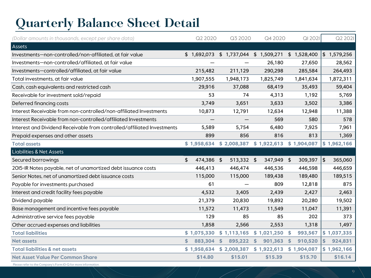## **Quarterly Balance Sheet Detail**

| (Dollar amounts in thousands, except per share data)                    | Q2 2020          | Q3 2020                   | Q4 2020                             | QI 2021             | Q2 2021       |
|-------------------------------------------------------------------------|------------------|---------------------------|-------------------------------------|---------------------|---------------|
| Assets                                                                  |                  |                           |                                     |                     |               |
| Investments-non-controlled/non-affiliated, at fair value                | \$1,692,073      |                           | \$1,737,044 \$1,509,271 \$1,528,400 |                     | \$1,579,256   |
| Investments-non-controlled/affiliated, at fair value                    |                  |                           | 26,180                              | 27,650              | 28,562        |
| Investments-controlled/affiliated, at fair value                        | 215,482          | 211,129                   | 290,298                             | 285,584             | 264,493       |
| Total investments, at fair value                                        | 1,907,555        | 1,948,173                 | 1,825,749                           | 1,841,634           | 1,872,311     |
| Cash, cash equivalents and restricted cash                              | 29,916           | 37,088                    | 68,419                              | 35,493              | 59,404        |
| Receivable for investment sold/repaid                                   | 53               | 74                        | 4,313                               | 1,192               | 5,769         |
| Deferred financing costs                                                | 3,749            | 3,651                     | 3,633                               | 3,502               | 3,386         |
| Interest Receivable from non-controlled/non-affiliated Investments      | 10,873           | 12,791                    | 12,634                              | 12,948              | 11,388        |
| Interest Receivable from non-controlled/affiliated Investments          |                  |                           | 569                                 | 580                 | 578           |
| Interest and Dividend Receivable from controlled/affiliated Investments | 5,589            | 5,754                     | 6,480                               | 7,925               | 7,961         |
| Prepaid expenses and other assets                                       | 899              | 856                       | 816                                 | 813                 | 1,369         |
| <b>Total assets</b>                                                     | \$1,958,634      | \$2,008,387               | \$1,922,613                         | \$1,904,087         | \$1,962,166   |
| <b>Liabilities &amp; Net Assets</b>                                     |                  |                           |                                     |                     |               |
| Secured borrowings                                                      | \$<br>474,386 \$ | 513,332 \$                | 347,949 \$                          | 309,397             | \$<br>365,060 |
| 2015-IR Notes payable, net of unamortized debt issuance costs           | 446,413          | 446,474                   | 446,536                             | 446,598             | 446,659       |
| Senior Notes, net of unamortized debt issuance costs                    | 115,000          | 115,000                   | 189,438                             | 189,480             | 189,515       |
| Payable for investments purchased                                       | 61               |                           | 809                                 | 12,818              | 875           |
| Interest and credit facility fees payable                               | 4,532            | 3,405                     | 2,439                               | 2,427               | 2,463         |
| Dividend payable                                                        | 21,379           | 20,830                    | 19,892                              | 20,280              | 19,502        |
| Base management and incentive fees payable                              | 11,572           | 11,473                    | 11,549                              | 11,047              | 11,391        |
| Administrative service fees payable                                     | 129              | 85                        | 85                                  | 202                 | 373           |
| Other accrued expenses and liabilities                                  | 1,858            | 2,566                     | 2,553                               | 1,318               | 1,497         |
| <b>Total liabilities</b>                                                | \$1,075,330      | \$1,113,165               | \$1,021,250                         | 993,567<br>- \$     | \$1,037,335   |
| <b>Net assets</b>                                                       | \$<br>883,304    | $\mathsf{\$}$<br>895,222  | $\mathsf{\$}$<br>901,363            | 910,520<br><b>S</b> | \$<br>924,831 |
| <b>Total liabilities &amp; net assets</b>                               |                  | $$1,958,634$ $$2,008,387$ | \$1,922,613                         | \$1,904,087         | \$1,962,166   |
| <b>Net Asset Value Per Common Share</b>                                 | \$14.80          | \$15.01                   | \$15.39                             | \$15.70             | \$16.14       |

Please refer to the Company's Form 10-Q for more information.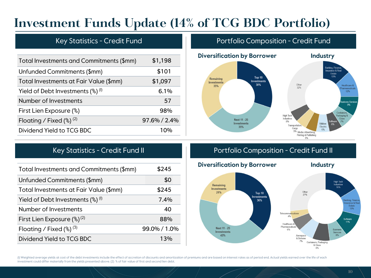### **Investment Funds Update (14% of TCG BDC Portfolio)**

| Total Investments and Commitments (\$mm)                   | \$1,198      |
|------------------------------------------------------------|--------------|
| Unfunded Commitments (\$mm)                                | \$101        |
| Total Investments at Fair Value (\$mm)                     | \$1,097      |
| Yield of Debt Investments $\left(\frac{8}{9}\right)^{(1)}$ | 6.1%         |
| Number of Investments                                      | 57           |
| First Lien Exposure (%)                                    | 98%          |
| Floating / Fixed $(\%)^{(2)}$                              | 97.6% / 2.4% |
| Dividend Yield to TCG BDC                                  | 1 በ%         |
|                                                            |              |

### Key Statistics - Credit Fund **Properties Internative Composition - Credit Fund**



| Total Investments and Commitments (\$mm)                   | \$245        |
|------------------------------------------------------------|--------------|
| Unfunded Commitments (\$mm)                                | \$0          |
| Total Investments at Fair Value (\$mm)                     | \$245        |
| Yield of Debt Investments $\left(\frac{8}{9}\right)^{(1)}$ | 7.4%         |
| Number of Investments                                      | 40           |
| First Lien Exposure $(\%)^{(2)}$                           | 88%          |
| Floating / Fixed $(\%)^{(3)}$                              | 99.0% / 1.0% |
| Dividend Yield to TCG BDC                                  | 13%          |
|                                                            |              |

### Key Statistics - Credit Fund II **Portfolio Composition - Credit Fund II**



(I) Weighted average yields at cost of the debt investments include the effect of accretion of discounts and amortization of premiums and are based on interest rates as of period end. Actual yields earned over the life of investment could differ materially from the yields presented above. (2) % of fair value of first and second lien debt.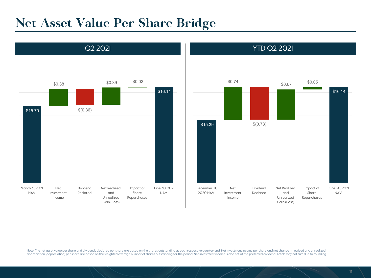### **Net Asset Value Per Share Bridge**





Note: The net asset value per share and dividends declared per share are based on the shares outstanding at each respective quarter-end. Net investment income per share and net change in realized and unrealized<br>appreciatio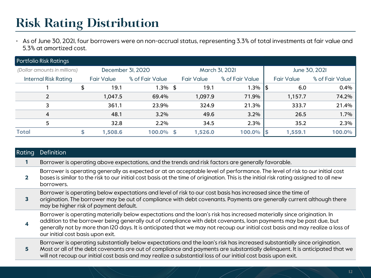### **Risk Rating Distribution**

• As of June 30, 2021, four borrowers were on non-accrual status, representing 3.3% of total investments at fair value and 5.3% at amortized cost.

| <b>Portfolio Risk Ratings</b> |                                                                     |                   |                 |   |                   |                 |     |                   |                 |  |  |
|-------------------------------|---------------------------------------------------------------------|-------------------|-----------------|---|-------------------|-----------------|-----|-------------------|-----------------|--|--|
|                               | March 3I, 2021<br>December 3I, 2020<br>(Dollar amounts in millions) |                   |                 |   |                   |                 |     | June 30, 2021     |                 |  |  |
| <b>Internal Risk Rating</b>   |                                                                     | <b>Fair Value</b> | % of Fair Value |   | <b>Fair Value</b> | % of Fair Value |     | <b>Fair Value</b> | % of Fair Value |  |  |
|                               | \$                                                                  | 19.1              | $1.3\%$ \$      |   | 19.1              | 1.3%            | ۱\$ | 6.0               | 0.4%            |  |  |
| 2                             |                                                                     | 1,047.5           | 69.4%           |   | 1,097.9           | 71.9%           |     | 1,157.7           | 74.2%           |  |  |
| 3                             |                                                                     | 361.1             | 23.9%           |   | 324.9             | 21.3%           |     | 333.7             | 21.4%           |  |  |
| 4                             |                                                                     | 48.1              | $3.2\%$         |   | 49.6              | 3.2%            |     | 26.5              | $1.7\%$         |  |  |
| 5                             |                                                                     | 32.8              | 2.2%            |   | 34.5              | 2.3%            |     | 35.2              | 2.3%            |  |  |
| <b>Total</b>                  |                                                                     | 1,508.6           | 100.0%          | S | 1,526.0           | 100.0%          | .S  | 1,559.1           | 100.0%          |  |  |

| <b>Rating</b> | Definition                                                                                                                                                                                                                                                                                                                                                                                                          |
|---------------|---------------------------------------------------------------------------------------------------------------------------------------------------------------------------------------------------------------------------------------------------------------------------------------------------------------------------------------------------------------------------------------------------------------------|
|               | Borrower is operating above expectations, and the trends and risk factors are generally favorable.                                                                                                                                                                                                                                                                                                                  |
|               | Borrower is operating generally as expected or at an acceptable level of performance. The level of risk to our initial cost<br>bases is similar to the risk to our initial cost basis at the time of origination. This is the initial risk rating assigned to all new<br>borrowers.                                                                                                                                 |
|               | Borrower is operating below expectations and level of risk to our cost basis has increased since the time of<br>origination. The borrower may be out of compliance with debt covenants. Payments are generally current although there<br>may be higher risk of payment default.                                                                                                                                     |
|               | Borrower is operating materially below expectations and the loan's risk has increased materially since origination. In<br>addition to the borrower being generally out of compliance with debt covenants, loan payments may be past due, but<br>generally not by more than I2O days. It is anticipated that we may not recoup our initial cost basis and may realize a loss of<br>our initial cost basis upon exit. |
| 5.            | Borrower is operating substantially below expectations and the loan's risk has increased substantially since origination.<br>Most or all of the debt covenants are out of compliance and payments are substantially delinquent. It is anticipated that we<br>will not recoup our initial cost basis and may realize a substantial loss of our initial cost basis upon exit.                                         |
|               |                                                                                                                                                                                                                                                                                                                                                                                                                     |